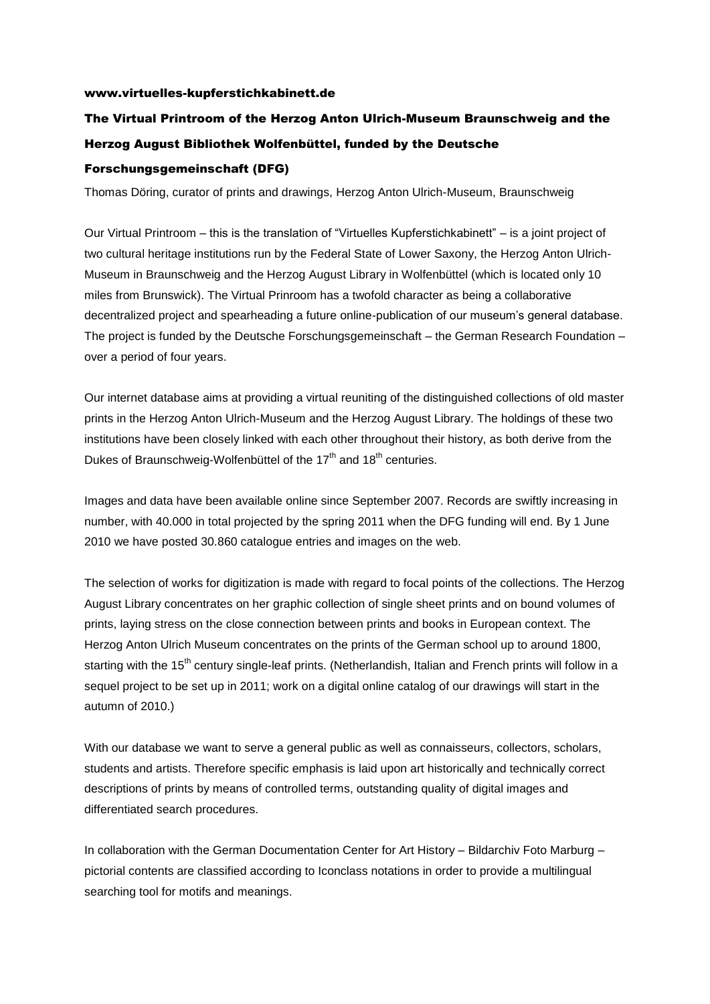## www.virtuelles-kupferstichkabinett.de

## The Virtual Printroom of the Herzog Anton Ulrich-Museum Braunschweig and the Herzog August Bibliothek Wolfenbüttel, funded by the Deutsche Forschungsgemeinschaft (DFG)

Thomas Döring, curator of prints and drawings, Herzog Anton Ulrich-Museum, Braunschweig

Our Virtual Printroom – this is the translation of "Virtuelles Kupferstichkabinett" – is a joint project of two cultural heritage institutions run by the Federal State of Lower Saxony, the Herzog Anton Ulrich-Museum in Braunschweig and the Herzog August Library in Wolfenbüttel (which is located only 10 miles from Brunswick). The Virtual Prinroom has a twofold character as being a collaborative decentralized project and spearheading a future online-publication of our museum's general database. The project is funded by the Deutsche Forschungsgemeinschaft – the German Research Foundation – over a period of four years.

Our internet database aims at providing a virtual reuniting of the distinguished collections of old master prints in the Herzog Anton Ulrich-Museum and the Herzog August Library. The holdings of these two institutions have been closely linked with each other throughout their history, as both derive from the Dukes of Braunschweig-Wolfenbüttel of the  $17<sup>th</sup>$  and  $18<sup>th</sup>$  centuries.

Images and data have been available online since September 2007. Records are swiftly increasing in number, with 40.000 in total projected by the spring 2011 when the DFG funding will end. By 1 June 2010 we have posted 30.860 catalogue entries and images on the web.

The selection of works for digitization is made with regard to focal points of the collections. The Herzog August Library concentrates on her graphic collection of single sheet prints and on bound volumes of prints, laying stress on the close connection between prints and books in European context. The Herzog Anton Ulrich Museum concentrates on the prints of the German school up to around 1800, starting with the 15<sup>th</sup> century single-leaf prints. (Netherlandish, Italian and French prints will follow in a sequel project to be set up in 2011; work on a digital online catalog of our drawings will start in the autumn of 2010.)

With our database we want to serve a general public as well as connaisseurs, collectors, scholars, students and artists. Therefore specific emphasis is laid upon art historically and technically correct descriptions of prints by means of controlled terms, outstanding quality of digital images and differentiated search procedures.

In collaboration with the German Documentation Center for Art History – Bildarchiv Foto Marburg – pictorial contents are classified according to Iconclass notations in order to provide a multilingual searching tool for motifs and meanings.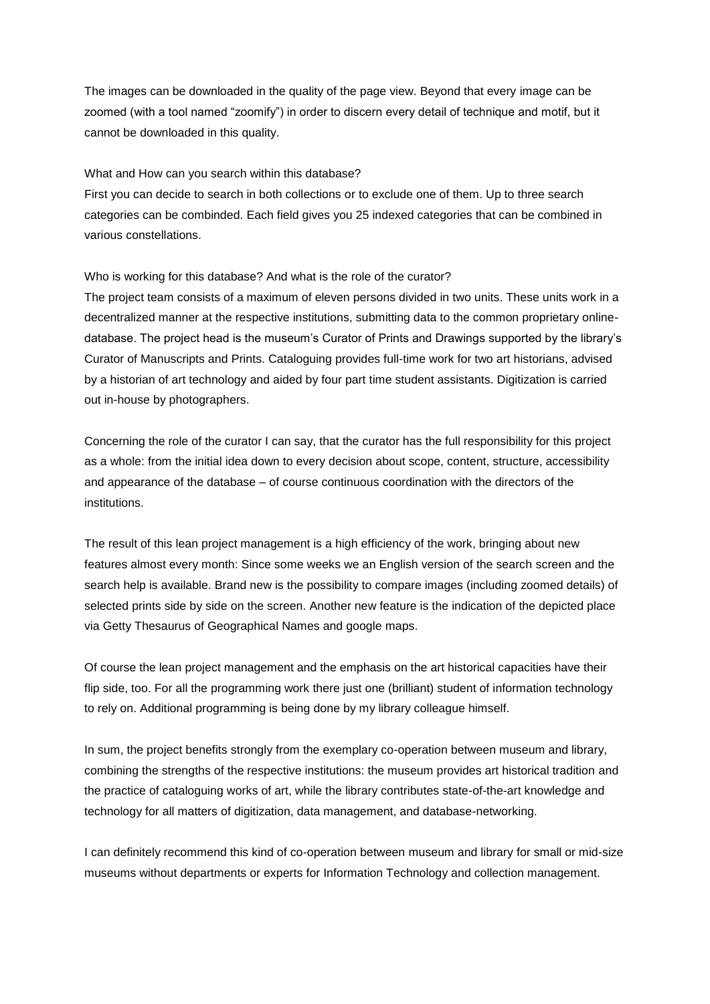The images can be downloaded in the quality of the page view. Beyond that every image can be zoomed (with a tool named "zoomify") in order to discern every detail of technique and motif, but it cannot be downloaded in this quality.

## What and How can you search within this database?

First you can decide to search in both collections or to exclude one of them. Up to three search categories can be combinded. Each field gives you 25 indexed categories that can be combined in various constellations.

## Who is working for this database? And what is the role of the curator?

The project team consists of a maximum of eleven persons divided in two units. These units work in a decentralized manner at the respective institutions, submitting data to the common proprietary onlinedatabase. The project head is the museum's Curator of Prints and Drawings supported by the library's Curator of Manuscripts and Prints. Cataloguing provides full-time work for two art historians, advised by a historian of art technology and aided by four part time student assistants. Digitization is carried out in-house by photographers.

Concerning the role of the curator I can say, that the curator has the full responsibility for this project as a whole: from the initial idea down to every decision about scope, content, structure, accessibility and appearance of the database – of course continuous coordination with the directors of the institutions.

The result of this lean project management is a high efficiency of the work, bringing about new features almost every month: Since some weeks we an English version of the search screen and the search help is available. Brand new is the possibility to compare images (including zoomed details) of selected prints side by side on the screen. Another new feature is the indication of the depicted place via Getty Thesaurus of Geographical Names and google maps.

Of course the lean project management and the emphasis on the art historical capacities have their flip side, too. For all the programming work there just one (brilliant) student of information technology to rely on. Additional programming is being done by my library colleague himself.

In sum, the project benefits strongly from the exemplary co-operation between museum and library, combining the strengths of the respective institutions: the museum provides art historical tradition and the practice of cataloguing works of art, while the library contributes state-of-the-art knowledge and technology for all matters of digitization, data management, and database-networking.

I can definitely recommend this kind of co-operation between museum and library for small or mid-size museums without departments or experts for Information Technology and collection management.